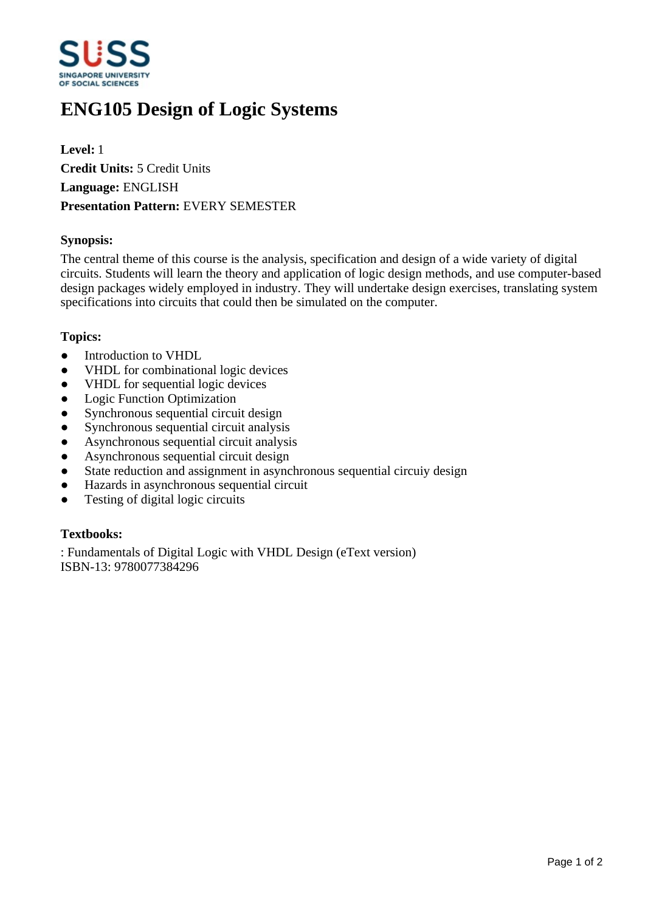

# **ENG105 Design of Logic Systems**

**Level:** 1 **Credit Units:** 5 Credit Units **Language:** ENGLISH **Presentation Pattern:** EVERY SEMESTER

# **Synopsis:**

The central theme of this course is the analysis, specification and design of a wide variety of digital circuits. Students will learn the theory and application of logic design methods, and use computer-based design packages widely employed in industry. They will undertake design exercises, translating system specifications into circuits that could then be simulated on the computer.

# **Topics:**

- $\bullet$  Introduction to VHDL
- VHDL for combinational logic devices
- VHDL for sequential logic devices
- Logic Function Optimization
- Synchronous sequential circuit design
- Synchronous sequential circuit analysis
- Asynchronous sequential circuit analysis
- Asynchronous sequential circuit design
- State reduction and assignment in asynchronous sequential circuiy design
- Hazards in asynchronous sequential circuit
- $\bullet$  Testing of digital logic circuits

#### **Textbooks:**

: Fundamentals of Digital Logic with VHDL Design (eText version) ISBN-13: 9780077384296